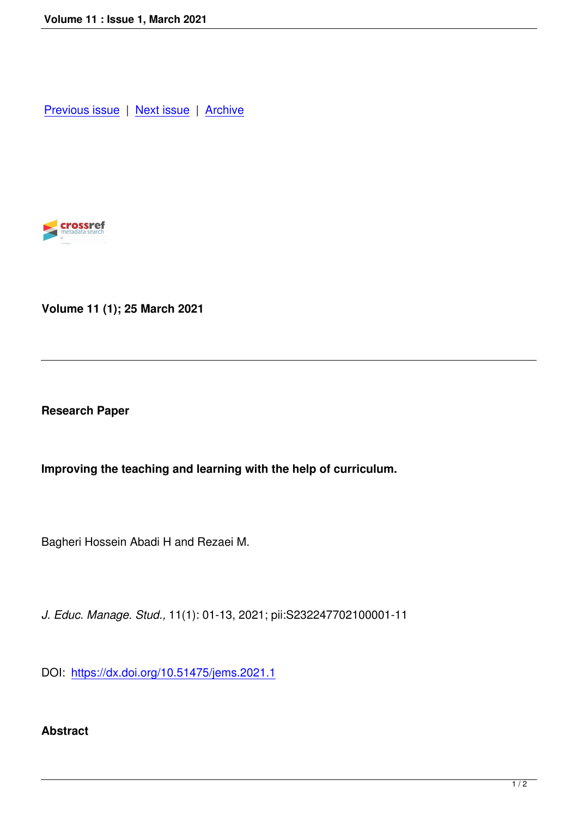Previous issue | Next issue | Archive



**Volume 11 (1); 25 March 2021**

**Research Paper**

**Improving the teaching and learning with the help of curriculum.** 

Bagheri Hossein Abadi H and Rezaei M.

*J. Educ. Manage. Stud.,* 11(1): 01-13, 2021; pii:S232247702100001-11

DOI: https://dx.doi.org/10.51475/jems.2021.1

## **Abst[ract](https://dx.doi.org/10.51475/jems.2021.1)**